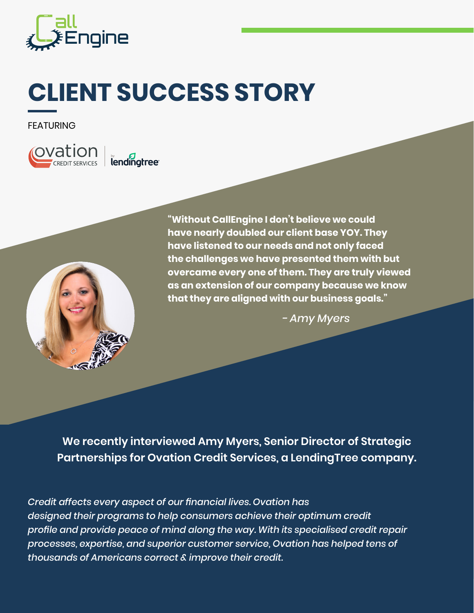

# **CLIENT SUCCESS STORY**

FEATURING

**CVation**  $\parallel$  lendingtree



**"Without CallEngine I don't believe we could have nearly doubled our client base YOY. They have listened to our needs and not only faced the challenges we have presented them with but overcame every one of them. They are truly viewed as an extension of our company because we know that they are aligned with our business goals."** 

*- Amy Myers*

**We recently interviewed Amy Myers, Senior Director of Strategic Partnerships for Ovation Credit Services, a LendingTree company.**

*Credit affects every aspect of our financial lives. Ovation has designed their programs to help consumers achieve their optimum credit profile and provide peace of mind along the way. With its specialised credit repair processes, expertise, and superior customer service, Ovation has helped tens of thousands of Americans correct & improve their credit.*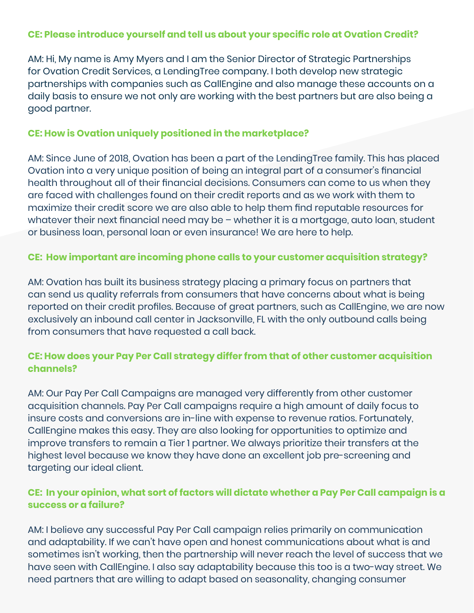#### **CE: Please introduce yourself and tell us about your specific role at Ovation Credit?**

AM: Hi, My name is Amy Myers and I am the Senior Director of Strategic Partnerships for Ovation Credit Services, a LendingTree company. I both develop new strategic partnerships with companies such as CallEngine and also manage these accounts on a daily basis to ensure we not only are working with the best partners but are also being a good partner.

#### **CE: How is Ovation uniquely positioned in the marketplace?**

AM: Since June of 2018, Ovation has been a part of the LendingTree family. This has placed Ovation into a very unique position of being an integral part of a consumer's financial health throughout all of their financial decisions. Consumers can come to us when they are faced with challenges found on their credit reports and as we work with them to maximize their credit score we are also able to help them find reputable resources for whatever their next financial need may be – whether it is a mortgage, auto loan, student or business loan, personal loan or even insurance! We are here to help.

#### **CE: How important are incoming phone calls to your customer acquisition strategy?**

AM: Ovation has built its business strategy placing a primary focus on partners that can send us quality referrals from consumers that have concerns about what is being reported on their credit profiles. Because of great partners, such as CallEngine, we are now exclusively an inbound call center in Jacksonville, FL with the only outbound calls being from consumers that have requested a call back.

# **CE: How does your Pay Per Call strategy differ from that of other customer acquisition channels?**

AM: Our Pay Per Call Campaigns are managed very differently from other customer acquisition channels. Pay Per Call campaigns require a high amount of daily focus to insure costs and conversions are in-line with expense to revenue ratios. Fortunately, CallEngine makes this easy. They are also looking for opportunities to optimize and improve transfers to remain a Tier 1 partner. We always prioritize their transfers at the highest level because we know they have done an excellent job pre-screening and targeting our ideal client.

#### **CE: In your opinion, what sort of factors will dictate whether a Pay Per Call campaign is a success or a failure?**

AM: I believe any successful Pay Per Call campaign relies primarily on communication and adaptability. If we can't have open and honest communications about what is and sometimes isn't working, then the partnership will never reach the level of success that we have seen with CallEngine. I also say adaptability because this too is a two-way street. We need partners that are willing to adapt based on seasonality, changing consumer